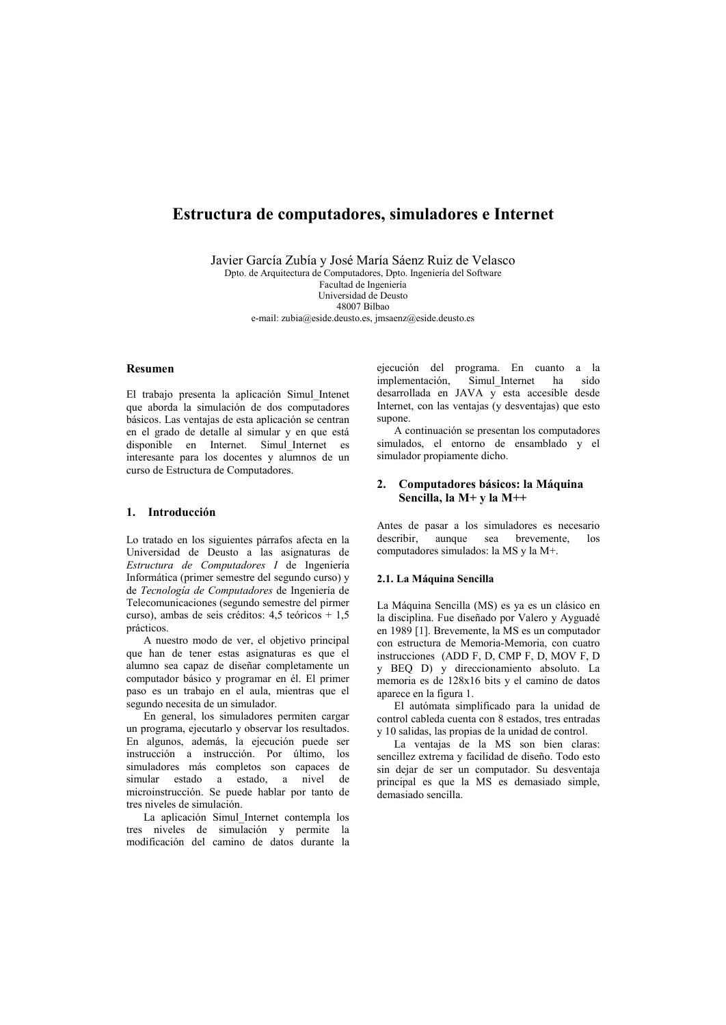# Estructura de computadores, simuladores e Internet

Javier García Zubía y José María Sáenz Ruiz de Velasco Dpto, de Arquitectura de Computadores, Dpto, Ingeniería del Software Facultad de Ingeniería

Universidad de Deusto  $48007$  Bilbao e-mail: zubia@eside.deusto.es, jmsaenz@eside.deusto.es

### **Resumen**

El trabajo presenta la aplicación Simul Intenet que aborda la simulación de dos computadores básicos. Las ventajas de esta aplicación se centran en el grado de detalle al simular y en que está disponible en Internet. Simul Internet es interesante para los docentes y alumnos de un curso de Estructura de Computadores.

## 1. Introducción

Lo tratado en los siguientes párrafos afecta en la Universidad de Deusto a las asignaturas de Estructura de Computadores I de Ingeniería Informática (primer semestre del segundo curso) y de Tecnología de Computadores de Ingeniería de Telecomunicaciones (segundo semestre del nirmer curso), ambas de seis créditos:  $4.5$  teóricos + 1.5 prácticos.

A nuestro modo de ver, el objetivo principal que han de tener estas asignaturas es que el alumno sea capaz de diseñar completamente un computador básico y programar en él. El primer paso es un trabajo en el aula mientras que el segundo necesita de un simulador.

En general, los simuladores permiten cargar un programa, ejecutarlo y observar los resultados. En algunos, además, la ejecución puede ser instrucción a instrucción. Por último, los simuladores más completos son capaces de simular estado a estado, a nivel de microinstrucción. Se puede hablar por tanto de tres niveles de simulación.

La aplicación Simul Internet contempla los tres niveles de simulación y permite la modificación del camino de datos durante la

ejecución del programa. En cuanto a la implementación, Simul Internet ha sido desarrollada en JAVA  $\overline{v}$  esta accesible desde Internet, con las ventajas (y desventajas) que esto supone.

A continuación se presentan los computadores simulados, el entorno de ensamblado y el simulador propiamente dicho.

## 2. Computadores básicos: la Máquina Sencilla, la M+ y la M++

Antes de pasar a los simuladores es necesario aunque sea brevemente, describir  $10e$ computadores simulados: la MS y la M+.

## 2.1. La Máquina Sencilla

La Máquina Sencilla (MS) es ya es un clásico en la disciplina. Fue diseñado por Valero y Ayguadé en 1989 [1]. Brevemente, la MS es un computador con estructura de Memoria-Memoria, con cuatro instrucciones (ADD F, D, CMP F, D, MOV F, D y BEQ D) y direccionamiento absoluto. La memoria es de 128x16 bits y el camino de datos aparece en la figura 1.

El autómata simplificado para la unidad de control cableda cuenta con 8 estados, tres entradas y 10 salidas, las propias de la unidad de control.

La ventajas de la MS son bien claras: sencillez extrema y facilidad de diseño. Todo esto sin dejar de ser un computador. Su desventaja principal es que la MS es demasiado simple, demasiado sencilla.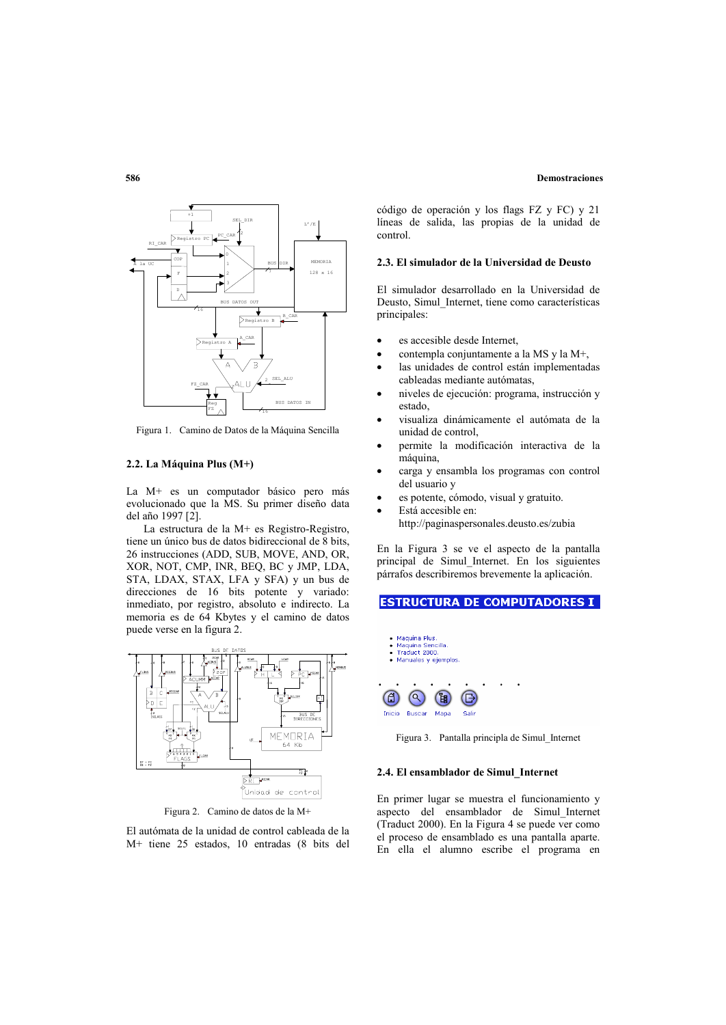#### **Demostraciones**



Figura 1. Camino de Datos de la Máquina Sencilla

#### 2.2. La Máquina Plus (M+)

La M+ es un computador básico pero más evolucionado que la MS. Su primer diseño data del año 1997 [2].

La estructura de la M+ es Registro-Registro, tiene un único bus de datos bidireccional de 8 bits, 26 instrucciones (ADD, SUB, MOVE, AND, OR. XOR, NOT, CMP, INR, BEO, BC v JMP, LDA, STA, LDAX, STAX, LFA y SFA) y un bus de direcciones de 16 bits potente y variado: inmediato, por registro, absoluto e indirecto. La memoria es de 64 Kbytes y el camino de datos puede verse en la figura 2.



Figura 2. Camino de datos de la M+

El autómata de la unidad de control cableada de la M+ tiene 25 estados, 10 entradas (8 bits del

código de operación y los flags FZ y FC) y 21 líneas de salida, las propias de la unidad de control

#### 2.3. El simulador de la Universidad de Deusto

El simulador desarrollado en la Universidad de Deusto, Simul\_Internet, tiene como características principales:

- es accesible desde Internet,
- contempla conjuntamente a la MS y la M+,
- las unidades de control están implementadas cableadas mediante autómatas,
- niveles de ejecución: programa, instrucción y estado.
- visualiza dinámicamente el autómata de la unidad de control.
- permite la modificación interactiva de la máquina,
- carga y ensambla los programas con control del usuario y
- es potente, cómodo, visual y gratuito.
- Está accesible en: http://paginaspersonales.deusto.es/zubia

En la Figura 3 se ve el aspecto de la pantalla principal de Simul Internet. En los siguientes párrafos describiremos brevemente la aplicación.

# **ESTRUCTURA DE COMPUTADORES I**



Figura 3. Pantalla principla de Simul Internet

#### 2.4. El ensamblador de Simul Internet

En primer lugar se muestra el funcionamiento y aspecto del ensamblador de Simul Internet  $($ Traduct 2000). En la Figura 4 se puede ver como el proceso de ensamblado es una pantalla aparte. En ella el alumno escribe el programa en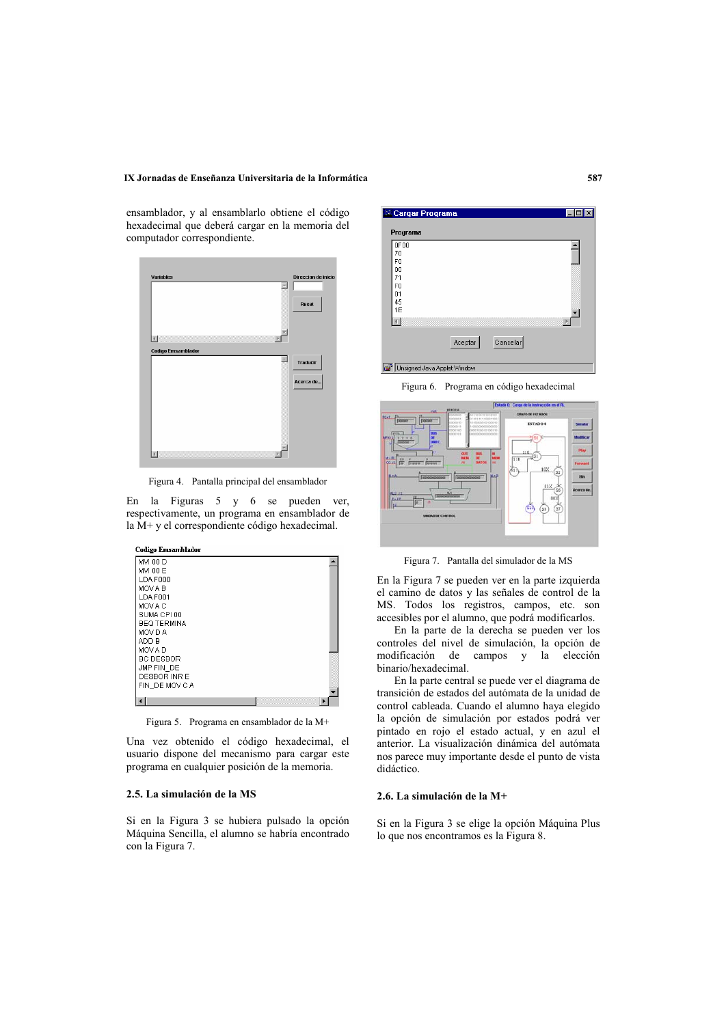## IX Jornadas de Enseñanza Universitaria de la Informática

ensamblador, y al ensamblarlo obtiene el código hexadecimal que deberá cargar en la memoria del computador correspondiente.



Figura 4. Pantalla principal del ensamblador

En la Figuras 5 y 6 se pueden ver, respectivamente, un programa en ensamblador de la M+ y el correspondiente código hexadecimal.



Figura 5. Programa en ensamblador de la M+

Una vez obtenido el código hexadecimal, el usuario dispone del mecanismo para cargar este programa en cualquier posición de la memoria.

# 2.5. La simulación de la MS

Si en la Figura 3 se hubiera pulsado la opción Máquina Sencilla, el alumno se habría encontrado con la Figura 7.



Figura 6. Programa en código hexadecimal



Figura 7. Pantalla del simulador de la MS

En la Figura 7 se pueden ver en la parte izquierda el camino de datos y las señales de control de la MS. Todos los registros, campos, etc. son accesibles por el alumno, que podrá modificarlos.

En la parte de la derecha se pueden ver los controles del nivel de simulación, la opción de modificación de campos y la elección binario/hexadecimal.

En la parte central se puede ver el diagrama de transición de estados del autómata de la unidad de control cableada. Cuando el alumno haya elegido la opción de simulación por estados podrá ver pintado en rojo el estado actual, y en azul el anterior. La visualización dinámica del autómata nos parece muy importante desde el punto de vista didáctico.

# 2.6. La simulación de la M+

Si en la Figura 3 se elige la opción Máquina Plus lo que nos encontramos es la Figura 8.

587